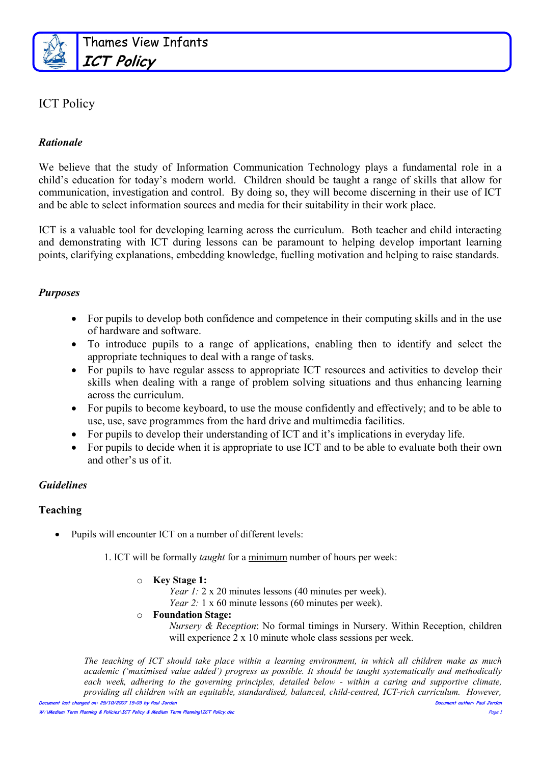

### ICT Policy

#### Rationale

We believe that the study of Information Communication Technology plays a fundamental role in a child's education for today's modern world. Children should be taught a range of skills that allow for communication, investigation and control. By doing so, they will become discerning in their use of ICT and be able to select information sources and media for their suitability in their work place.

ICT is a valuable tool for developing learning across the curriculum. Both teacher and child interacting and demonstrating with ICT during lessons can be paramount to helping develop important learning points, clarifying explanations, embedding knowledge, fuelling motivation and helping to raise standards.

#### Purposes

- For pupils to develop both confidence and competence in their computing skills and in the use of hardware and software.
- To introduce pupils to a range of applications, enabling then to identify and select the appropriate techniques to deal with a range of tasks.
- For pupils to have regular assess to appropriate ICT resources and activities to develop their skills when dealing with a range of problem solving situations and thus enhancing learning across the curriculum.
- For pupils to become keyboard, to use the mouse confidently and effectively; and to be able to use, use, save programmes from the hard drive and multimedia facilities.
- For pupils to develop their understanding of ICT and it's implications in everyday life.
- For pupils to decide when it is appropriate to use ICT and to be able to evaluate both their own and other's us of it.

#### Guidelines

#### Teaching

• Pupils will encounter ICT on a number of different levels:

1. ICT will be formally taught for a minimum number of hours per week:

- o Key Stage 1:
	- Year 1: 2 x 20 minutes lessons (40 minutes per week).
	- Year 2: 1 x 60 minute lessons (60 minutes per week).
- o Foundation Stage:

Nursery & Reception: No formal timings in Nursery. Within Reception, children will experience 2 x 10 minute whole class sessions per week.

Document last changed on: 25/10/2007 15:03 by Paul Jordan Document author: Paul Jordan The teaching of ICT should take place within a learning environment, in which all children make as much academic ('maximised value added') progress as possible. It should be taught systematically and methodically each week, adhering to the governing principles, detailed below - within a caring and supportive climate, providing all children with an equitable, standardised, balanced, child-centred, ICT-rich curriculum. However,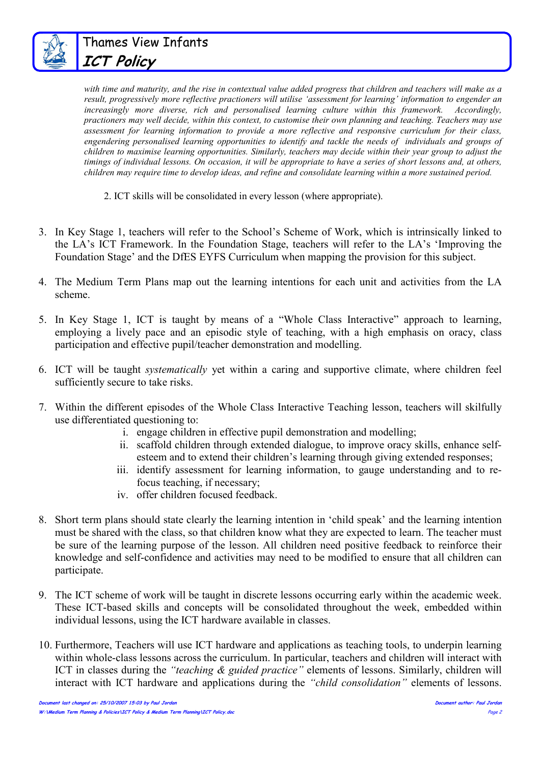

Thames View Infants ICT Policy

with time and maturity, and the rise in contextual value added progress that children and teachers will make as a result, progressively more reflective practioners will utilise 'assessment for learning' information to engender an increasingly more diverse, rich and personalised learning culture within this framework. Accordingly, practioners may well decide, within this context, to customise their own planning and teaching. Teachers may use assessment for learning information to provide a more reflective and responsive curriculum for their class, engendering personalised learning opportunities to identify and tackle the needs of individuals and groups of children to maximise learning opportunities. Similarly, teachers may decide within their year group to adjust the timings of individual lessons. On occasion, it will be appropriate to have a series of short lessons and, at others, children may require time to develop ideas, and refine and consolidate learning within a more sustained period.

- 2. ICT skills will be consolidated in every lesson (where appropriate).
- 3. In Key Stage 1, teachers will refer to the School's Scheme of Work, which is intrinsically linked to the LA's ICT Framework. In the Foundation Stage, teachers will refer to the LA's 'Improving the Foundation Stage' and the DfES EYFS Curriculum when mapping the provision for this subject.
- 4. The Medium Term Plans map out the learning intentions for each unit and activities from the LA scheme.
- 5. In Key Stage 1, ICT is taught by means of a "Whole Class Interactive" approach to learning, employing a lively pace and an episodic style of teaching, with a high emphasis on oracy, class participation and effective pupil/teacher demonstration and modelling.
- 6. ICT will be taught systematically yet within a caring and supportive climate, where children feel sufficiently secure to take risks.
- 7. Within the different episodes of the Whole Class Interactive Teaching lesson, teachers will skilfully use differentiated questioning to:
	- i. engage children in effective pupil demonstration and modelling;
	- ii. scaffold children through extended dialogue, to improve oracy skills, enhance selfesteem and to extend their children's learning through giving extended responses;
	- iii. identify assessment for learning information, to gauge understanding and to refocus teaching, if necessary;
	- iv. offer children focused feedback.
- 8. Short term plans should state clearly the learning intention in 'child speak' and the learning intention must be shared with the class, so that children know what they are expected to learn. The teacher must be sure of the learning purpose of the lesson. All children need positive feedback to reinforce their knowledge and self-confidence and activities may need to be modified to ensure that all children can participate.
- 9. The ICT scheme of work will be taught in discrete lessons occurring early within the academic week. These ICT-based skills and concepts will be consolidated throughout the week, embedded within individual lessons, using the ICT hardware available in classes.
- 10. Furthermore, Teachers will use ICT hardware and applications as teaching tools, to underpin learning within whole-class lessons across the curriculum. In particular, teachers and children will interact with ICT in classes during the "teaching & guided practice" elements of lessons. Similarly, children will interact with ICT hardware and applications during the "child consolidation" elements of lessons.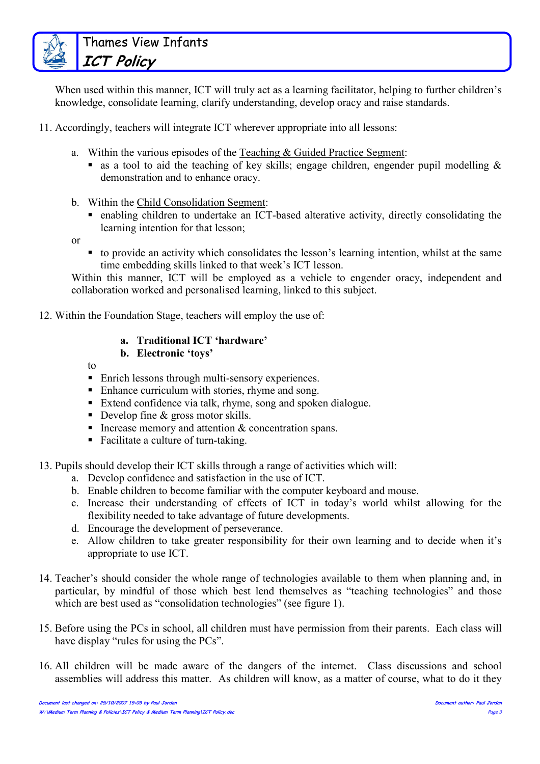When used within this manner, ICT will truly act as a learning facilitator, helping to further children's knowledge, consolidate learning, clarify understanding, develop oracy and raise standards.

11. Accordingly, teachers will integrate ICT wherever appropriate into all lessons:

- a. Within the various episodes of the Teaching & Guided Practice Segment:
	- as a tool to aid the teaching of key skills; engage children, engender pupil modelling  $\&$ demonstration and to enhance oracy.
- b. Within the Child Consolidation Segment:
	- enabling children to undertake an ICT-based alterative activity, directly consolidating the learning intention for that lesson;
- or
- to provide an activity which consolidates the lesson's learning intention, whilst at the same time embedding skills linked to that week's ICT lesson.

Within this manner, ICT will be employed as a vehicle to engender oracy, independent and collaboration worked and personalised learning, linked to this subject.

12. Within the Foundation Stage, teachers will employ the use of:

#### a. Traditional ICT 'hardware'

- b. Electronic 'toys'
- to
- Enrich lessons through multi-sensory experiences.
- Enhance curriculum with stories, rhyme and song.
- Extend confidence via talk, rhyme, song and spoken dialogue.
- Develop fine & gross motor skills.
- Increase memory and attention  $&$  concentration spans.
- Facilitate a culture of turn-taking.
- 13. Pupils should develop their ICT skills through a range of activities which will:
	- a. Develop confidence and satisfaction in the use of ICT.
	- b. Enable children to become familiar with the computer keyboard and mouse.
	- c. Increase their understanding of effects of ICT in today's world whilst allowing for the flexibility needed to take advantage of future developments.
	- d. Encourage the development of perseverance.
	- e. Allow children to take greater responsibility for their own learning and to decide when it's appropriate to use ICT.
- 14. Teacher's should consider the whole range of technologies available to them when planning and, in particular, by mindful of those which best lend themselves as "teaching technologies" and those which are best used as "consolidation technologies" (see figure 1).
- 15. Before using the PCs in school, all children must have permission from their parents. Each class will have display "rules for using the PCs".
- 16. All children will be made aware of the dangers of the internet. Class discussions and school assemblies will address this matter. As children will know, as a matter of course, what to do it they